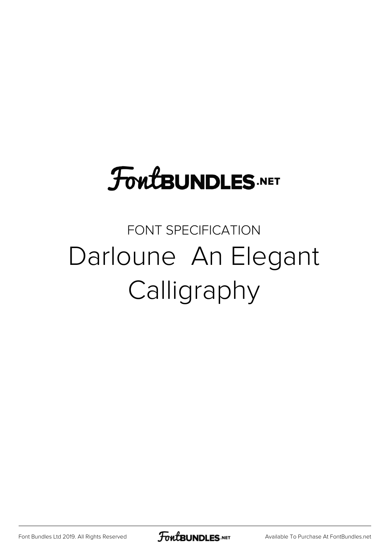## **FoutBUNDLES.NET**

## FONT SPECIFICATION Darloune An Elegant Calligraphy

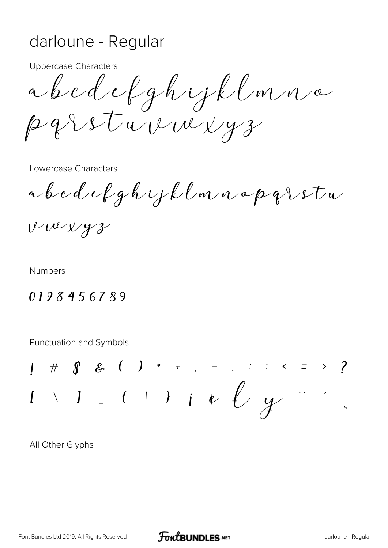## darloune - Regular

**Uppercase Characters** 

abedefghijklmna parsturauxyz

Lowercase Characters

a b c d e f g h i j k l m n a p q  $\iota$  s t u

vwvyz

**Numbers** 

## 0123456789

**Punctuation and Symbols** 

 $1 \# \int \mathcal{S} \mathcal{S} \left( 1 \right) * + \ldots - \ldots ; \quad 1 \leq j \leq n$  $\setminus$  1 - ( ) ) i e  $\ell$  y

All Other Glyphs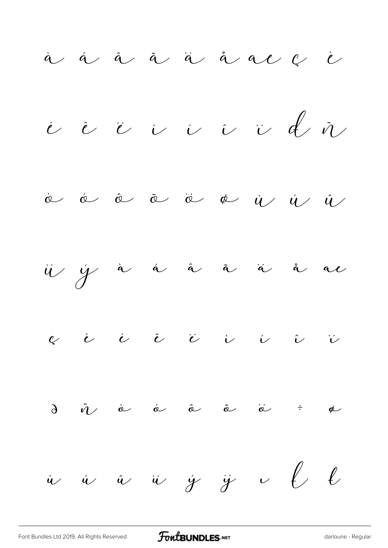à á â ä å å al  $\ell$  è  $\stackrel{\cdot}{\nu}$  is  $\stackrel{\cdot}{\nu}$  is  $\stackrel{\cdot}{\nu}$  is  $\stackrel{\cdot}{\nu}$ Ò Ó Ô Õ Ö Ø Ù Ú Û  $\ddot{u}$   $\dot{y}$  à á â  $\ddot{a}$  à ä å ac  $\begin{array}{cccccccccccccccccc} \mathcal{C} & \mathcal{C} & \mathcal{C} & \mathcal{C} & \mathcal{C} & \mathcal{C} & \mathcal{C} & \mathcal{C} & \mathcal{C} & \mathcal{C} & \mathcal{C} & \mathcal{C} & \mathcal{C} & \mathcal{C} & \mathcal{C} & \mathcal{C} & \mathcal{C} & \mathcal{C} & \mathcal{C} & \mathcal{C} & \mathcal{C} & \mathcal{C} & \mathcal{C} & \mathcal{C} & \mathcal{C} & \mathcal{C} & \mathcal{C} & \mathcal{C} & \mathcal{C} & \mathcal{C}$  $\partial$   $\tilde{n}$  à  $\acute{a}$   $\tilde{a}$   $\tilde{a}$   $\tilde{a}$   $\tilde{c}$   $\tilde{e}$   $\tilde{a}$  $\dot{u}$   $\dot{u}$   $\dot{u}$   $\dot{y}$   $\ddot{y}$   $\sim$   $\ell$   $\ell$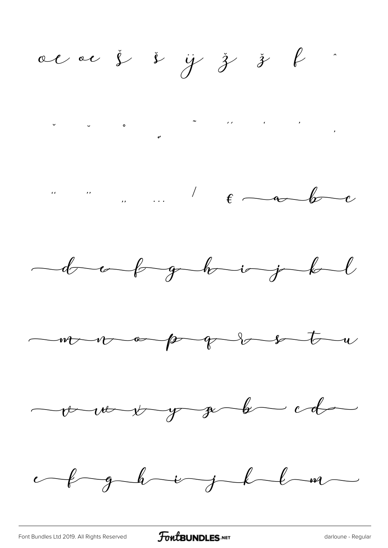acac j i y j j k dook ghvirjeb more pp obstru vous y g b cd ef glavight a